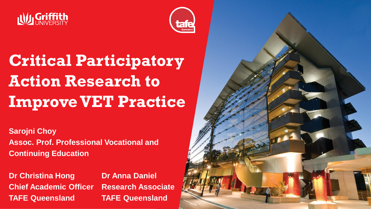



# **Critical Participatory Action Research to Improve VET Practice**

**Sarojni Choy Assoc. Prof. Professional Vocational and Continuing Education**

**Dr Christina Hong Dr Anna Daniel Chief Academic Officer Research Associate TAFE Queensland TAFE Queensland**

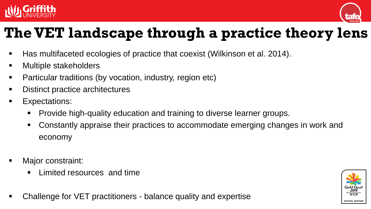



### **The VET landscape through a practice theory lens**

- Has multifaceted ecologies of practice that coexist (Wilkinson et al. 2014).
- Multiple stakeholders
- Particular traditions (by vocation, industry, region etc)
- Distinct practice architectures
- **Expectations:** 
	- **Provide high-quality education and training to diverse learner groups.**
	- Constantly appraise their practices to accommodate emerging changes in work and economy
- Major constraint:
	- **Limited resources and time**
- Challenge for VET practitioners balance quality and expertise

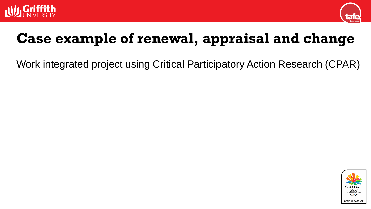



### **Case example of renewal, appraisal and change**

Work integrated project using Critical Participatory Action Research (CPAR)

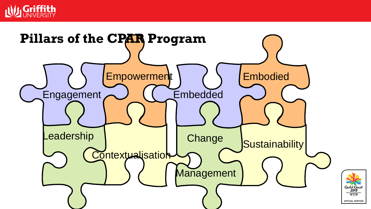

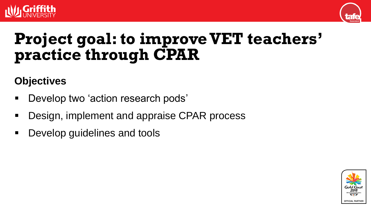



## **Project goal: to improve VET teachers' practice through CPAR**

#### **Objectives**

- Develop two 'action research pods'
- Design, implement and appraise CPAR process
- Develop guidelines and tools

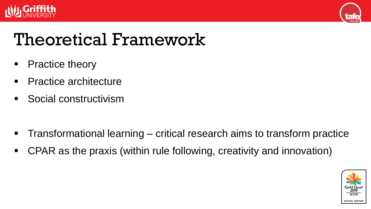



## Theoretical Framework

- Practice theory
- Practice architecture
- Social constructivism

- Transformational learning critical research aims to transform practice
- CPAR as the praxis (within rule following, creativity and innovation)

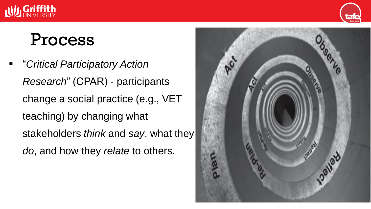



### Process

 "*Critical Participatory Action Research*" (CPAR) - participants change a social practice (e.g., VET teaching) by changing what stakeholders *think* and *say*, what they *do*, and how they *relate* to others.

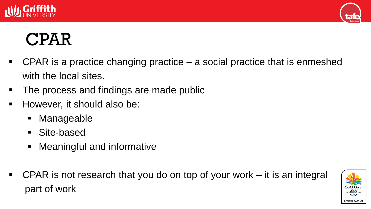



# CPAR

- CPAR is a practice changing practice a social practice that is enmeshed with the local sites.
- The process and findings are made public
- **However, it should also be:** 
	- **Manageable**
	- Site-based
	- Meaningful and informative
- CPAR is not research that you do on top of your work it is an integral part of work

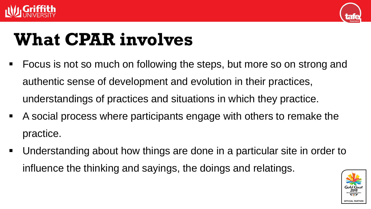



# **What CPAR involves**

- **FICUME:** Focus is not so much on following the steps, but more so on strong and authentic sense of development and evolution in their practices, understandings of practices and situations in which they practice.
- A social process where participants engage with others to remake the practice.
- Understanding about how things are done in a particular site in order to influence the thinking and sayings, the doings and relatings.

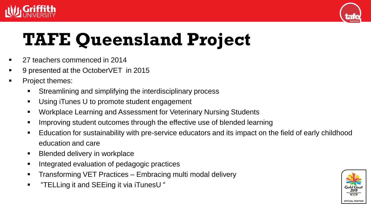



# **TAFE Queensland Project**

- 27 teachers commenced in 2014
- 9 presented at the OctoberVET in 2015
- Project themes:
	- Streamlining and simplifying the interdisciplinary process
	- Using iTunes U to promote student engagement
	- Workplace Learning and Assessment for Veterinary Nursing Students
	- **IMPROVING STARGED INCOMES THROUGH THE EFFECTIVE USE OF BEATHING**
	- Education for sustainability with pre-service educators and its impact on the field of early childhood education and care
	- **Blended delivery in workplace**
	- **Integrated evaluation of pedagogic practices**
	- **Transforming VET Practices Embracing multi modal delivery**
	- "TELLing it and SEEing it via iTunesU "

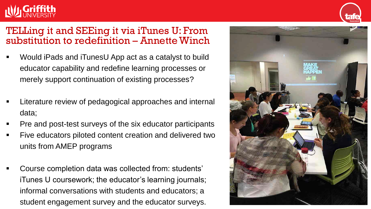#### TELLing it and SEEing it via iTunes U: From substitution to redefinition – Annette Winch

- Would iPads and iTunesU App act as a catalyst to build educator capability and redefine learning processes or merely support continuation of existing processes?
- Literature review of pedagogical approaches and internal data;
- Pre and post-test surveys of the six educator participants
- Five educators piloted content creation and delivered two units from AMEP programs
- Course completion data was collected from: students' iTunes U coursework; the educator's learning journals; informal conversations with students and educators; a student engagement survey and the educator surveys.



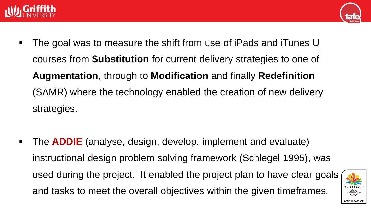



• The goal was to measure the shift from use of iPads and iTunes U courses from **Substitution** for current delivery strategies to one of **Augmentation**, through to **Modification** and finally **Redefinition** (SAMR) where the technology enabled the creation of new delivery strategies.

 The **ADDIE** (analyse, design, develop, implement and evaluate) instructional design problem solving framework (Schlegel 1995), was used during the project. It enabled the project plan to have clear goals and tasks to meet the overall objectives within the given timeframes.

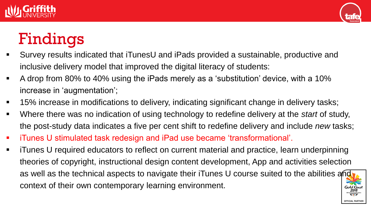



## Findings

- Survey results indicated that iTunesU and iPads provided a sustainable, productive and inclusive delivery model that improved the digital literacy of students:
- A drop from 80% to 40% using the iPads merely as a 'substitution' device, with a 10% increase in 'augmentation';
- 15% increase in modifications to delivery, indicating significant change in delivery tasks;
- Where there was no indication of using technology to redefine delivery at the *start* of study, the post-study data indicates a five per cent shift to redefine delivery and include *new* tasks;
- iTunes U stimulated task redesign and iPad use became 'transformational'.
- iTunes U required educators to reflect on current material and practice, learn underpinning theories of copyright, instructional design content development, App and activities selection as well as the technical aspects to navigate their iTunes U course suited to the abilities and context of their own contemporary learning environment.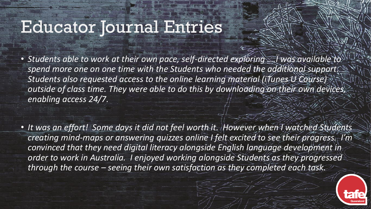### Educator Journal Entries

• *Students able to work at their own pace, self-directed exploring ….Ï was available to spend more one on one time with the Students who needed the additional support. Students also requested access to the online learning material (iTunes U Course) outside of class time. They were able to do this by downloading on their own devices, enabling access 24/7.* 

• It was an effort! Some days it did not feel worth it. However when I watched Students *creating mind-maps or answering quizzes online I felt excited to see their progress. I'm convinced that they need digital literacy alongside English language development in order to work in Australia. I enjoyed working alongside Students as they progressed through the course – seeing their own satisfaction as they completed each task.*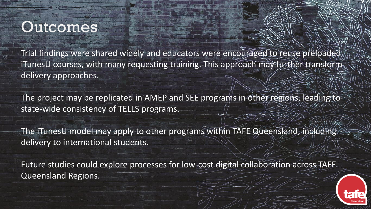### **Outcomes**

Trial findings were shared widely and educators were encouraged to reuse preloaded iTunesU courses, with many requesting training. This approach may further transform delivery approaches.

The project may be replicated in AMEP and SEE programs in other regions, leading to state-wide consistency of TELLS programs.

The iTunesU model may apply to other programs within TAFE Queensland, including delivery to international students.

Future studies could explore processes for low-cost digital collaboration across TAFE Queensland Regions.

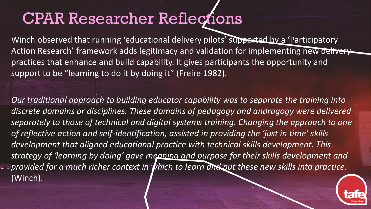## CPAR Researcher Reflections

Winch observed that running 'educational delivery pilots' supported by a 'Participatory Action Research' framework adds legitimacy and validation for implementing new delivery practices that enhance and build capability. It gives participants the opportunity and support to be "learning to do it by doing it" (Freire 1982).

*Our traditional approach to building educator capability was to separate the training into discrete domains or disciplines. These domains of pedagogy and andragogy were delivered separately to those of technical and digital systems training. Changing the approach to one of reflective action and self-identification, assisted in providing the 'just in time' skills development that aligned educational practice with technical skills development. This strategy of 'learning by doing' gave meaning and purpose for their skills development and*  **provided for a much richer context in which to learn and put these new skills into practice.** (Winch).

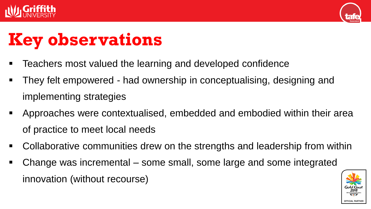



# **Key observations**

- **Teachers most valued the learning and developed confidence**
- They felt empowered had ownership in conceptualising, designing and implementing strategies
- Approaches were contextualised, embedded and embodied within their area of practice to meet local needs
- Collaborative communities drew on the strengths and leadership from within
- Change was incremental some small, some large and some integrated innovation (without recourse)

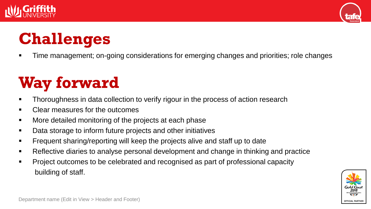



## **Challenges**

Time management; on-going considerations for emerging changes and priorities; role changes

# **Way forward**

- **Thoroughness in data collection to verify rigour in the process of action research**
- Clear measures for the outcomes
- More detailed monitoring of the projects at each phase
- Data storage to inform future projects and other initiatives
- **Figure 1** Frequent sharing/reporting will keep the projects alive and staff up to date
- Reflective diaries to analyse personal development and change in thinking and practice
- Project outcomes to be celebrated and recognised as part of professional capacity building of staff.